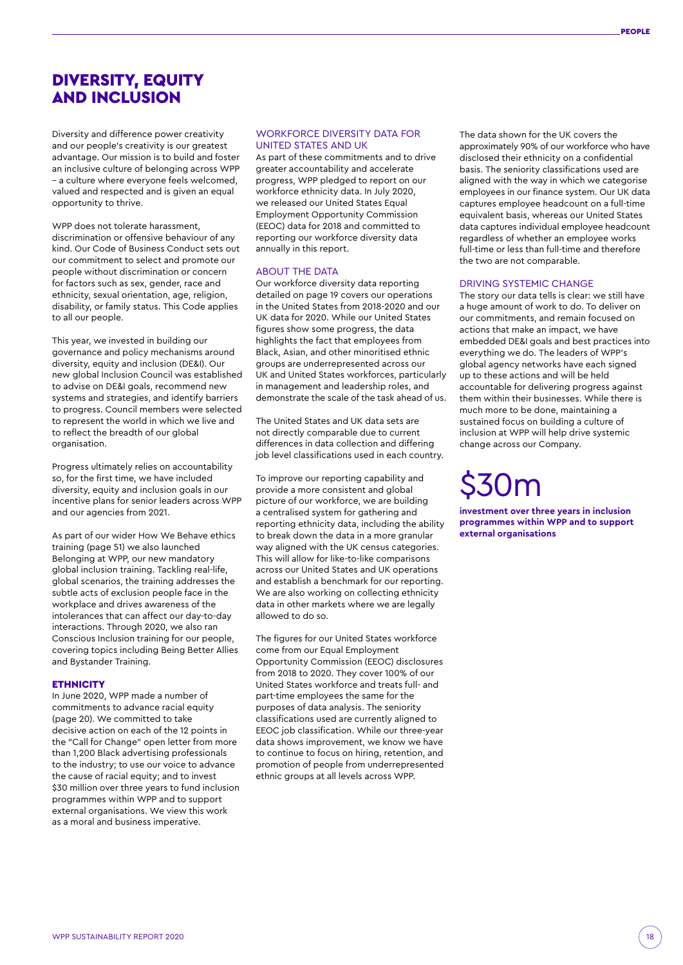# DIVERSITY, EQUITY AND INCLUSION

Diversity and difference power creativity and our people's creativity is our greatest advantage. Our mission is to build and foster an inclusive culture of belonging across WPP – a culture where everyone feels welcomed, valued and respected and is given an equal opportunity to thrive.

WPP does not tolerate harassment discrimination or offensive behaviour of any kind. Our Code of Business Conduct sets out our commitment to select and promote our people without discrimination or concern for factors such as sex, gender, race and ethnicity, sexual orientation, age, religion, disability, or family status. This Code applies to all our people.

This year, we invested in building our governance and policy mechanisms around diversity, equity and inclusion (DE&I). Our new global Inclusion Council was established to advise on DE&I goals, recommend new systems and strategies, and identify barriers to progress. Council members were selected to represent the world in which we live and to reflect the breadth of our global organisation.

Progress ultimately relies on accountability so, for the first time, we have included diversity, equity and inclusion goals in our incentive plans for senior leaders across WPP and our agencies from 2021.

As part of our wider How We Behave ethics training (page 51) we also launched Belonging at WPP, our new mandatory global inclusion training. Tackling real-life, global scenarios, the training addresses the subtle acts of exclusion people face in the workplace and drives awareness of the intolerances that can affect our day-to-day interactions. Through 2020, we also ran Conscious Inclusion training for our people, covering topics including Being Better Allies and Bystander Training.

#### **ETHNICITY**

In June 2020, WPP made a number of commitments to advance racial equity (page 20). We committed to take decisive action on each of the 12 points in the "Call for Change" open letter from more than 1,200 Black advertising professionals to the industry; to use our voice to advance the cause of racial equity; and to invest \$30 million over three years to fund inclusion programmes within WPP and to support external organisations. We view this work as a moral and business imperative.

## WORKFORCE DIVERSITY DATA FOR UNITED STATES AND UK

As part of these commitments and to drive greater accountability and accelerate progress, WPP pledged to report on our workforce ethnicity data. In July 2020, we released our United States Equal Employment Opportunity Commission (EEOC) data for 2018 and committed to reporting our workforce diversity data annually in this report.

## ABOUT THE DATA

Our workforce diversity data reporting detailed on page 19 covers our operations in the United States from 2018-2020 and our UK data for 2020. While our United States figures show some progress, the data highlights the fact that employees from Black, Asian, and other minoritised ethnic groups are underrepresented across our UK and United States workforces, particularly in management and leadership roles, and demonstrate the scale of the task ahead of us.

The United States and UK data sets are not directly comparable due to current differences in data collection and differing job level classifications used in each country.

To improve our reporting capability and provide a more consistent and global picture of our workforce, we are building a centralised system for gathering and reporting ethnicity data, including the ability to break down the data in a more granular way aligned with the UK census categories. This will allow for like-to-like comparisons across our United States and UK operations and establish a benchmark for our reporting. We are also working on collecting ethnicity data in other markets where we are legally allowed to do so.

The figures for our United States workforce come from our Equal Employment Opportunity Commission (EEOC) disclosures from 2018 to 2020. They cover 100% of our United States workforce and treats full- and part-time employees the same for the purposes of data analysis. The seniority classifications used are currently aligned to EEOC job classification. While our three-year data shows improvement, we know we have to continue to focus on hiring, retention, and promotion of people from underrepresented ethnic groups at all levels across WPP.

The data shown for the UK covers the approximately 90% of our workforce who have disclosed their ethnicity on a confidential basis. The seniority classifications used are aligned with the way in which we categorise employees in our finance system. Our UK data captures employee headcount on a full-time equivalent basis, whereas our United States data captures individual employee headcount regardless of whether an employee works full-time or less than full-time and therefore the two are not comparable.

### DRIVING SYSTEMIC CHANGE

The story our data tells is clear: we still have a huge amount of work to do. To deliver on our commitments, and remain focused on actions that make an impact, we have embedded DE&I goals and best practices into everything we do. The leaders of WPP's global agency networks have each signed up to these actions and will be held accountable for delivering progress against them within their businesses. While there is much more to be done, maintaining a sustained focus on building a culture of inclusion at WPP will help drive systemic change across our Company.

# \$30m

**investment over three years in inclusion programmes within WPP and to support external organisations**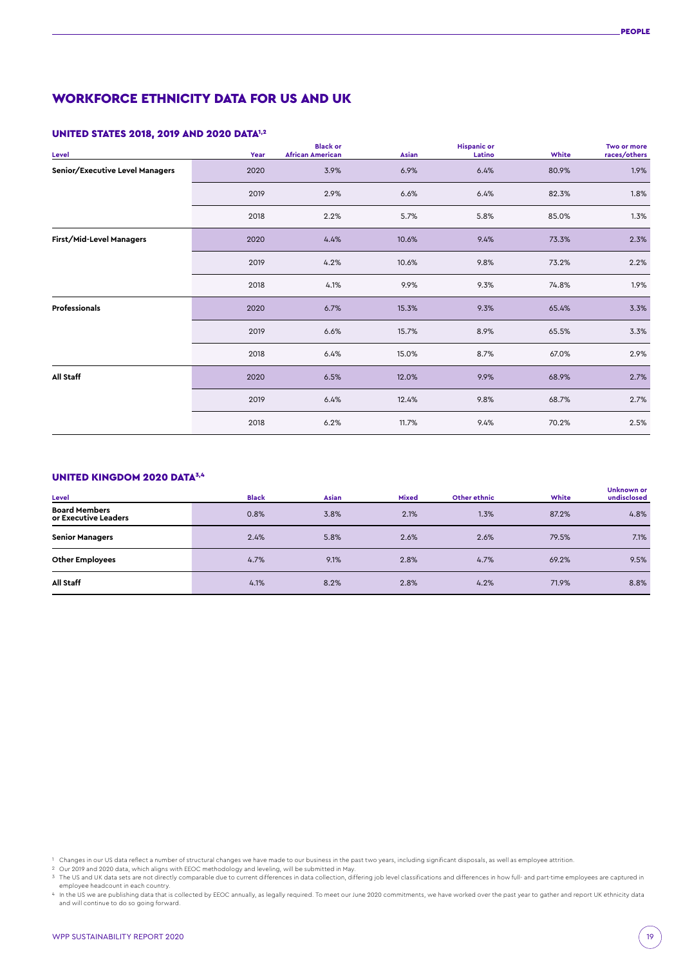# WORKFORCE ETHNICITY DATA FOR US AND UK

## UNITED STATES 2018, 2019 AND 2020 DATA1,2

| Level                                  | Year | <b>Black or</b><br><b>African American</b> | Asian | <b>Hispanic or</b><br>Latino | White | Two or more<br>races/others |
|----------------------------------------|------|--------------------------------------------|-------|------------------------------|-------|-----------------------------|
| <b>Senior/Executive Level Managers</b> | 2020 | 3.9%                                       | 6.9%  | 6.4%                         | 80.9% | 1.9%                        |
|                                        | 2019 | 2.9%                                       | 6.6%  | 6.4%                         | 82.3% | 1.8%                        |
|                                        | 2018 | 2.2%                                       | 5.7%  | 5.8%                         | 85.0% | 1.3%                        |
| <b>First/Mid-Level Managers</b>        | 2020 | 4.4%                                       | 10.6% | 9.4%                         | 73.3% | 2.3%                        |
|                                        | 2019 | 4.2%                                       | 10.6% | 9.8%                         | 73.2% | 2.2%                        |
|                                        | 2018 | 4.1%                                       | 9.9%  | 9.3%                         | 74.8% | 1.9%                        |
| Professionals                          | 2020 | 6.7%                                       | 15.3% | 9.3%                         | 65.4% | 3.3%                        |
|                                        | 2019 | 6.6%                                       | 15.7% | 8.9%                         | 65.5% | 3.3%                        |
|                                        | 2018 | 6.4%                                       | 15.0% | 8.7%                         | 67.0% | 2.9%                        |
| <b>All Staff</b>                       | 2020 | 6.5%                                       | 12.0% | 9.9%                         | 68.9% | 2.7%                        |
|                                        | 2019 | 6.4%                                       | 12.4% | 9.8%                         | 68.7% | 2.7%                        |
|                                        | 2018 | 6.2%                                       | 11.7% | 9.4%                         | 70.2% | 2.5%                        |

## UNITED KINGDOM 2020 DATA3,4

| Level                                        | <b>Black</b> | Asian | <b>Mixed</b> | Other ethnic | White | Unknown or<br>undisclosed |
|----------------------------------------------|--------------|-------|--------------|--------------|-------|---------------------------|
| <b>Board Members</b><br>or Executive Leaders | 0.8%         | 3.8%  | 2.1%         | 1.3%         | 87.2% | 4.8%                      |
| <b>Senior Managers</b>                       | 2.4%         | 5.8%  | 2.6%         | 2.6%         | 79.5% | 7.1%                      |
| <b>Other Employees</b>                       | 4.7%         | 9.1%  | 2.8%         | 4.7%         | 69.2% | 9.5%                      |
| All Staff                                    | 4.1%         | 8.2%  | 2.8%         | 4.2%         | 71.9% | 8.8%                      |

<sup>&</sup>lt;sup>1</sup> Changes in our US data reflect a number of structural changes we have made to our business in the past two years, including significant disposals, as well as employee attrition.<br><sup>2</sup> Our 2019 and 2020 data, which alig

employee headcount in each country.<br>4 In the US we are publishing data that is collected by EEOC annually, as legally required. To meet our June 2020 commitments, we have worked over the past year to gather and report UK e and will continue to do so going forward.